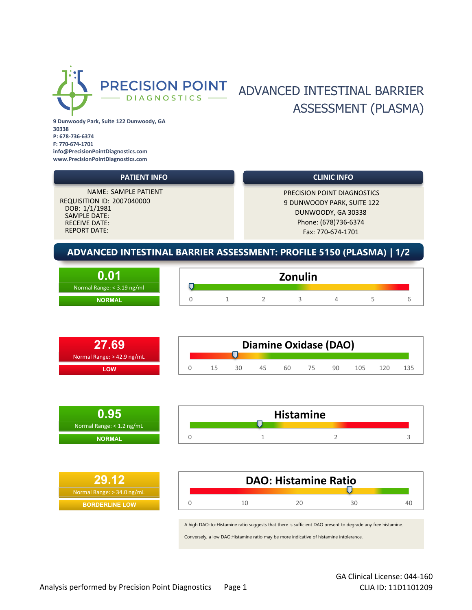

## PRECISION POINT ADVANCED INTESTINAL BARRIER ASSESSMENT (PLASMA)

**9 Dunwoody Park, Suite 122 Dunwoody, GA 30338 P: 678-736-6374 F: 770-674-1701 info@PrecisionPointDiagnostics.com www.PrecisionPointDiagnostics.com**



|                            | <b>Zonulin</b> |  |  |  |  |  |  |  |
|----------------------------|----------------|--|--|--|--|--|--|--|
| Normal Range: < 3.19 ng/ml |                |  |  |  |  |  |  |  |
| <b>NORMAL</b>              |                |  |  |  |  |  |  |  |

|                              | <b>Diamine Oxidase (DAO)</b> |    |    |    |    |    |    |     |       |  |
|------------------------------|------------------------------|----|----|----|----|----|----|-----|-------|--|
| Normal Range: $> 42.9$ ng/mL |                              |    |    |    |    |    |    |     |       |  |
| <b>OW</b>                    |                              | 15 | RΩ | 45 | 60 | 75 | GΠ | 105 | 1 2 0 |  |



| 129.12                       | <b>DAO: Histamine Ratio</b>                                                                                |    |    |    |  |  |  |  |
|------------------------------|------------------------------------------------------------------------------------------------------------|----|----|----|--|--|--|--|
| Normal Range: $>$ 34.0 ng/mL |                                                                                                            |    |    |    |  |  |  |  |
| <b>BORDERLINE LOW</b>        |                                                                                                            | 20 | 30 | 40 |  |  |  |  |
|                              |                                                                                                            |    |    |    |  |  |  |  |
|                              | A high DAO-to-Histamine ratio suggests that there is sufficient DAO present to degrade any free histamine. |    |    |    |  |  |  |  |

Conversely, a low DAO:Histamine ratio may be more indicative of histamine intolerance.